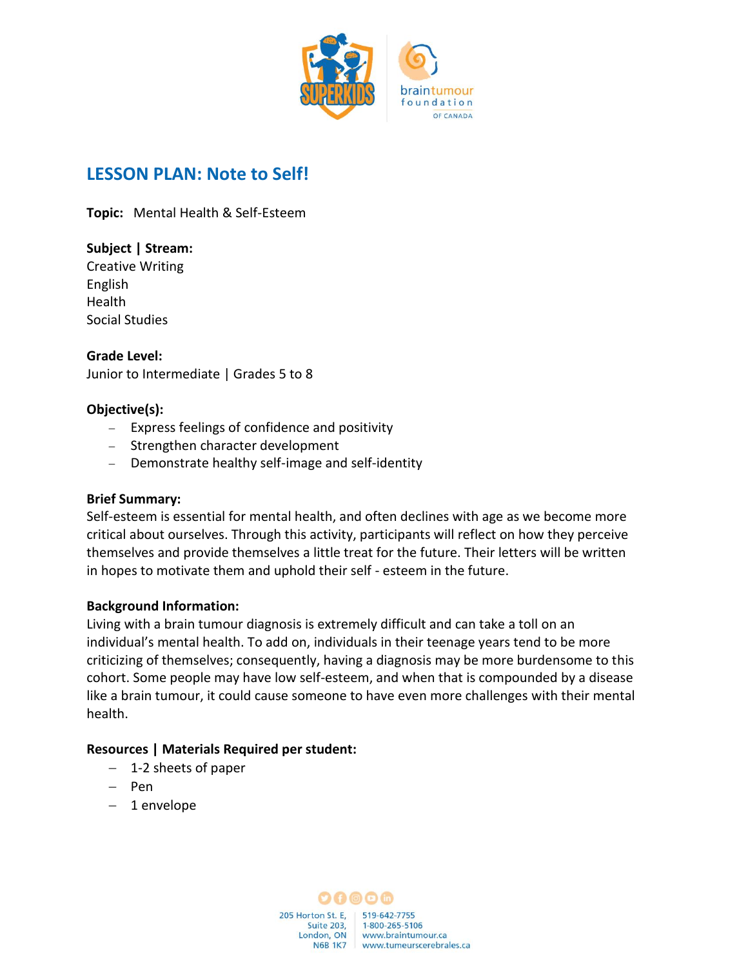

# **LESSON PLAN: Note to Self!**

**Topic:** Mental Health & Self-Esteem

**Subject | Stream:** Creative Writing English Health Social Studies

**Grade Level:** Junior to Intermediate | Grades 5 to 8

### **Objective(s):**

- − Express feelings of confidence and positivity
- − Strengthen character development
- − Demonstrate healthy self-image and self-identity

#### **Brief Summary:**

Self-esteem is essential for mental health, and often declines with age as we become more critical about ourselves. Through this activity, participants will reflect on how they perceive themselves and provide themselves a little treat for the future. Their letters will be written in hopes to motivate them and uphold their self - esteem in the future.

#### **Background Information:**

Living with a brain tumour diagnosis is extremely difficult and can take a toll on an individual's mental health. To add on, individuals in their teenage years tend to be more criticizing of themselves; consequently, having a diagnosis may be more burdensome to this cohort. Some people may have low self-esteem, and when that is compounded by a disease like a brain tumour, it could cause someone to have even more challenges with their mental health.

## **Resources | Materials Required per student:**

- − 1-2 sheets of paper
- − Pen
- − 1 envelope